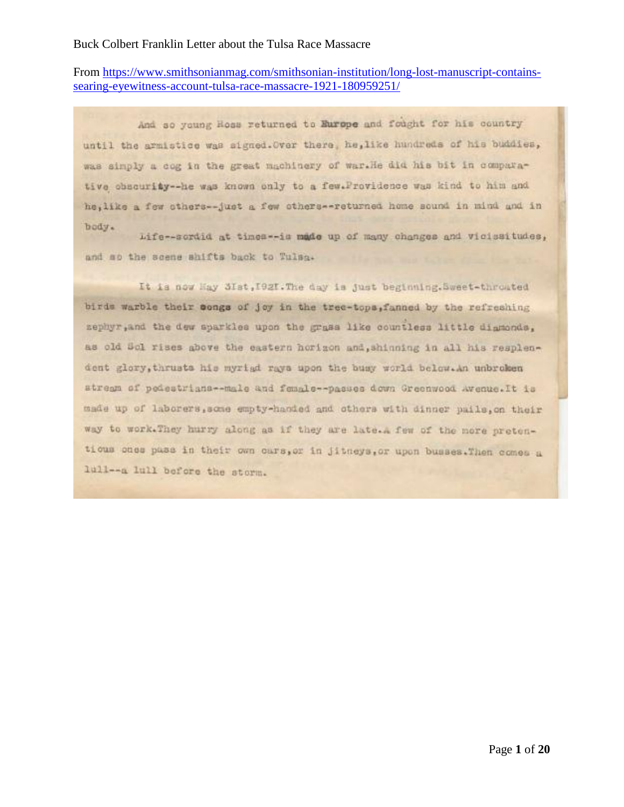From [https://www.smithsonianmag.com/smithsonian-institution/long-lost-manuscript-contains](https://www.smithsonianmag.com/smithsonian-institution/long-lost-manuscript-contains-searing-eyewitness-account-tulsa-race-massacre-1921-180959251/)[searing-eyewitness-account-tulsa-race-massacre-1921-180959251/](https://www.smithsonianmag.com/smithsonian-institution/long-lost-manuscript-contains-searing-eyewitness-account-tulsa-race-massacre-1921-180959251/)

And so young Hoss returned to Europe and fought for his country until the armistice was signed. Over there, he, like hundreds of his buddies, was simply a cog in the great machinery of war.He did his bit in comparative obscurity--he was known only to a few.Providence was kind to him and he, like a few sthers--just a few sthers--returned home sound in mind and in body.

Life--scrdid at times -- is made up of many changes and vicissitudes, and so the scene shifts back to Tulsa.

It is now Hay SIst, 1921. The day is just beginning. Sweet-throuted birds warble their congs of joy in the tree-tops, fanned by the refreshing sephyr, and the dew sparkles upon the grass like countless little diamonds. as old Sol rises above the eastern horizon and, shinning in all his resplendent glory, thrusta his myriad rays upon the busy world below. An unbroken stream of podestrians -- male and female -- passes down Greenwood Avenue. It is made up of laborers, some empty-handed and others with dinner pails, on their way to work. They hurry along as if they are late. A few of the more pretentious ones pass in their own cars, or in Jitneys, or upon busses. Then comes a 1ull -- a lull before the storm.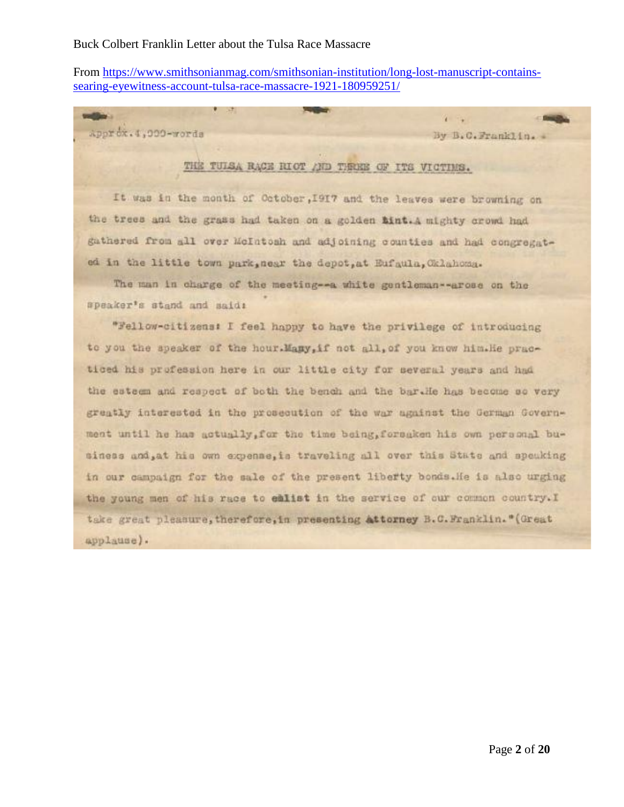From [https://www.smithsonianmag.com/smithsonian-institution/long-lost-manuscript-contains](https://www.smithsonianmag.com/smithsonian-institution/long-lost-manuscript-contains-searing-eyewitness-account-tulsa-race-massacre-1921-180959251/)[searing-eyewitness-account-tulsa-race-massacre-1921-180959251/](https://www.smithsonianmag.com/smithsonian-institution/long-lost-manuscript-contains-searing-eyewitness-account-tulsa-race-massacre-1921-180959251/)

Approx.4,000-words

velling.

By B.C.Franklin. -

 $\mathbf{1}$ 

# THE TUISA RACE RIOT AND THREE OF ITS VICTIMS.

It was in the month of October, 1917 and the leaves were browning on the trees and the grass had taken on a golden tint.A mighty crowd had gathered from all over McIntosh and adjoining counties and had congregated in the little town park, near the depot, at Eufaula, Cklahoma.

The man in charge of the meeting -- a white gentleman--arose on the speaker's stand and said:

"Fellow-citizens: I feel happy to have the privilege of introducing to you the speaker of the hour. Many, if not all, of you know him. He practiced his profession here in our little city for several years and had the esteem and respect of both the bench and the bar.He has become so very greatly interested in the prosecution of the war against the German Government until he has actually, for the time being, forsaken his own personal business and, at his own expense, is traveling all over this State and speaking in our campaign for the sale of the present liberty bonds. He is also urging the young men of his race to emlist in the service of our common country. I take great pleasure, therefore, in presenting attorney B.C.Franklin." (Great applause).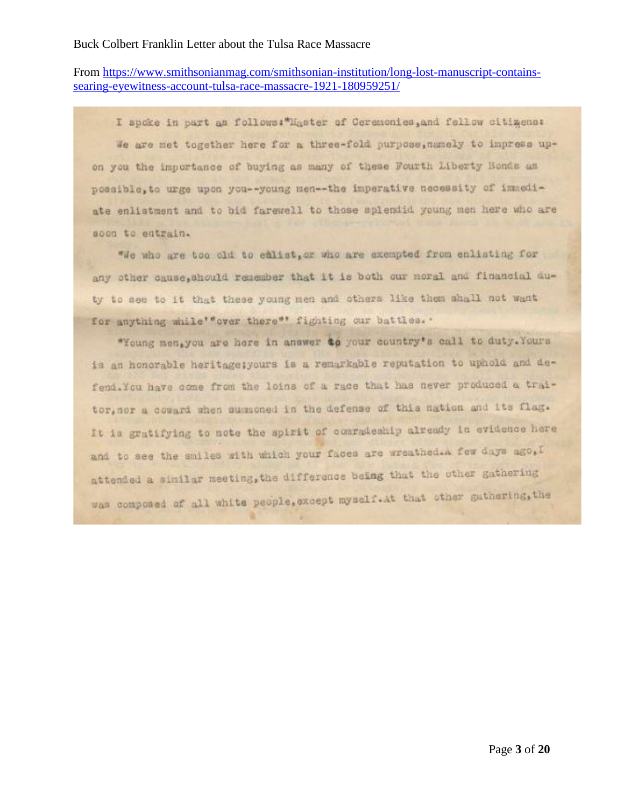From [https://www.smithsonianmag.com/smithsonian-institution/long-lost-manuscript-contains](https://www.smithsonianmag.com/smithsonian-institution/long-lost-manuscript-contains-searing-eyewitness-account-tulsa-race-massacre-1921-180959251/)[searing-eyewitness-account-tulsa-race-massacre-1921-180959251/](https://www.smithsonianmag.com/smithsonian-institution/long-lost-manuscript-contains-searing-eyewitness-account-tulsa-race-massacre-1921-180959251/)

I spoke in part as follows: "Haster of Ceremonies, and fellow citizens: We are met together here for a three-fold purpose, namely to impress upon you the importance of buying as many of these Fourth Liberty Bonds as possible, to urge upon you -- young men -- the imperative necessity of immediate enlistment and to bid farewell to those splendid young men here who are soon to entrain.

"We who are too old to emlist, or who are exempted from enlisting for any other cause, should remember that it is both our moral and financial duty to see to it that these young men and others like them shall not want for anything while'"over there"' fighting our battles. '

"Young men, you are here in answer to your country's call to duty. Yours is an honorable heritage; yours is a remarkable reputation to uphold and defend. You have come from the loins of a race that has never produced a traitor, nor a coward when summoned in the defense of this nation and its flag. It is gratifying to note the spirit of comradeship already in evidence here and to see the smiles with which your faces are wreathed.A few days ago, I attended a similar meeting, the difference being that the other gathering was componed of all white people, except myself. At that other gathering, the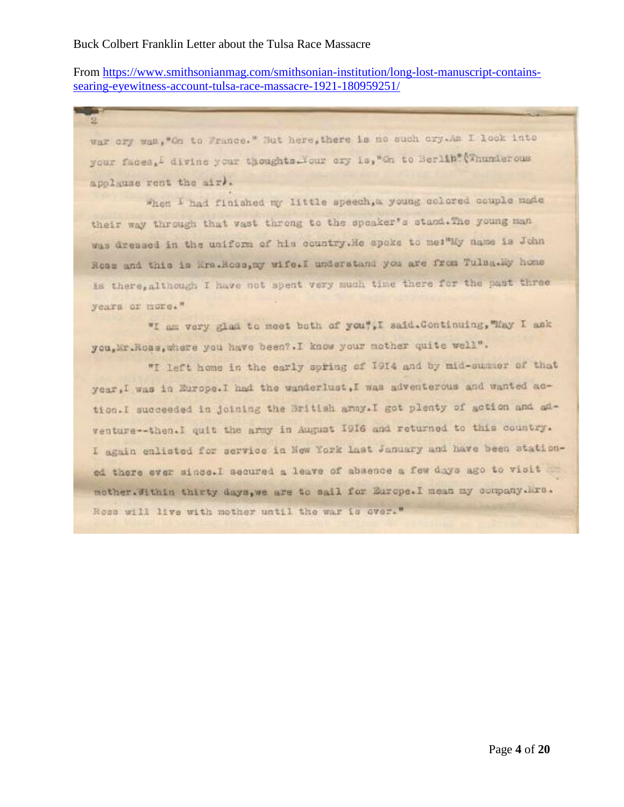From [https://www.smithsonianmag.com/smithsonian-institution/long-lost-manuscript-contains](https://www.smithsonianmag.com/smithsonian-institution/long-lost-manuscript-contains-searing-eyewitness-account-tulsa-race-massacre-1921-180959251/)[searing-eyewitness-account-tulsa-race-massacre-1921-180959251/](https://www.smithsonianmag.com/smithsonian-institution/long-lost-manuscript-contains-searing-eyewitness-account-tulsa-race-massacre-1921-180959251/)

war cry was, "On to France." But here, there is no such cry.Am I look into your faces, I divine your thoughts. Your cry is, "On to Berlin" (Thunderous apolause rent the air.

When I had finished my little speech, a young colored couple made their way through that vast throng to the speaker's stand. The young man was dressed in the uniform of his country. He spoke to me:"My name is John Ross and this is Ers.Ross, my wife.I understand you are from Tulba.Ey home is there, although I have not spent very much time there for the past three years or more."

"I am very glad to meet both of you", I said. Continuing, "May I ask you, Mr. Roas, where you have been?. I know your mother quite well".

"I left home in the early spring of 1914 and by mid-summer of that year, I was in Europe. I had the wanderlust, I was adventerous and wanted action.I succeeded in joining the British anny. I got plenty of action and adventure -- then. I quit the army in August 1916 and returned to this country. I again enlisted for service in New York last January and have been stationed there ever since. I secured a leave of absence a few days ago to visit mother. Minin thirty days, we are to sail for Europe. I mean my company. Mrs. Ross will live with mother until the war is over."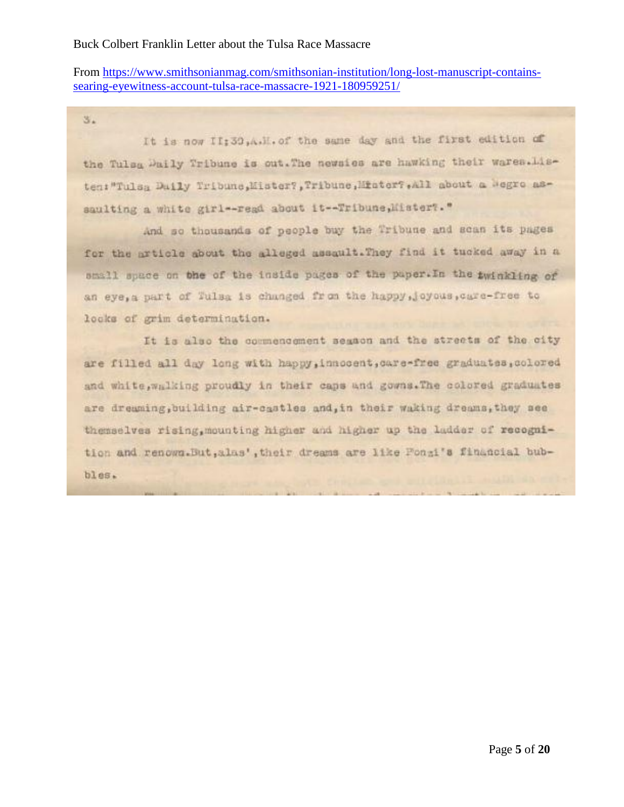From [https://www.smithsonianmag.com/smithsonian-institution/long-lost-manuscript-contains](https://www.smithsonianmag.com/smithsonian-institution/long-lost-manuscript-contains-searing-eyewitness-account-tulsa-race-massacre-1921-180959251/)[searing-eyewitness-account-tulsa-race-massacre-1921-180959251/](https://www.smithsonianmag.com/smithsonian-institution/long-lost-manuscript-contains-searing-eyewitness-account-tulsa-race-massacre-1921-180959251/)

 $3.1$ 

It is now II; 30, A.H. of the same day and the first edition of the Tulsa Daily Tribune is out. The newsies are hawking their wares. Listen: "Tulsa Daily Tribune, Mister?, Tribune, Mister?, All about a Megro assaulting a white girl -- read about it-Tribune, Mister?. "

And so thousands of people buy the Tribune and scan its pages for the article about the alleged assault. They find it tucked away in a small space on the of the inside pages of the paper. In the twinkling of an eye, a part of Tulsa is changed from the happy, oyous, care-free to looks of grim determination.

It is also the commencement segmon and the streets of the city are filled all day long with happy, innocent, care-free graduates, colored and white, walking proudly in their caps and gowns. The colored graduates are dreaming, building air-castles and, in their waking dreams, they see themselves rising, mounting higher and higher up the ladder of recognition and renown. But, alas', their dreams are like Ponzi's financial bubbles.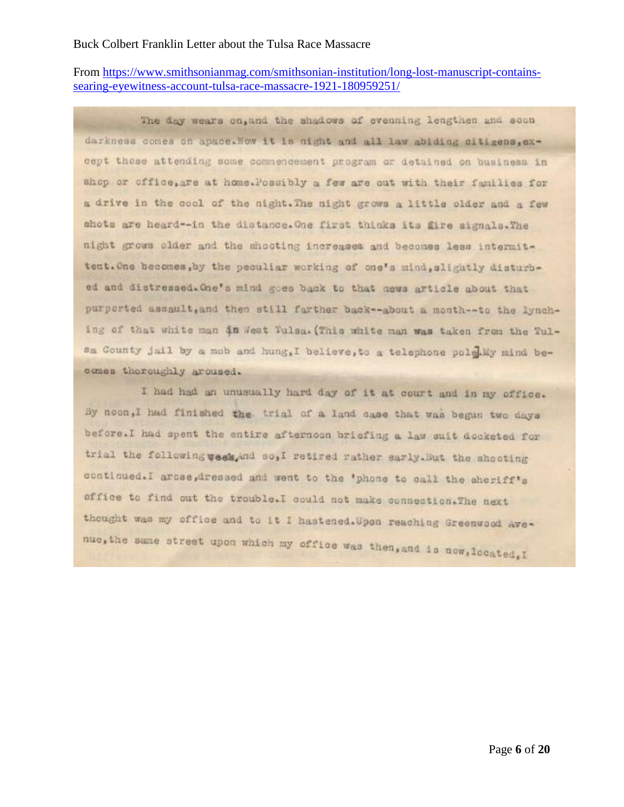From [https://www.smithsonianmag.com/smithsonian-institution/long-lost-manuscript-contains](https://www.smithsonianmag.com/smithsonian-institution/long-lost-manuscript-contains-searing-eyewitness-account-tulsa-race-massacre-1921-180959251/)[searing-eyewitness-account-tulsa-race-massacre-1921-180959251/](https://www.smithsonianmag.com/smithsonian-institution/long-lost-manuscript-contains-searing-eyewitness-account-tulsa-race-massacre-1921-180959251/)

The day wears on, and the shadows of evenning lengthen and soon darkness comes on apace. Now it is night and all law abiding citigens.except those attending some commencement program or detained on business in shop or office, are at home. Possibly a few are out with their families for a drive in the cool of the night. The night grown a little older and a few shots are heard--in the distance. One first thinks its fire signals. The night grows older and the shooting increases and becomes less intermittent. One becomes, by the peculiar working of one's mind, slightly disturbed and distressed. One's mind goes back to that news article about that purperted assault, and then still farther back -- about a month -- to the lynching of that white man in West Tulsa. (This white man was taken from the Tulsa County jail by a mob and hung, I believe, to a telephone pole My mind becomes thoroughly aroused.

I had had an unusually hard day of it at court and in my office. By noon, I had finished the trial of a land case that was begun two days before. I had spent the entire afternoon briefing a law suit decketed for trial the following week, and so, I retired rather early. But the shooting continued.I arcse, dressed and went to the 'phone to call the sheriff's office to find out the trouble.I could not make connection.The next thought was my office and to it I hastened. Upon reaching Greenwood Avenue, the same street upon which my office was then, and is now, located, I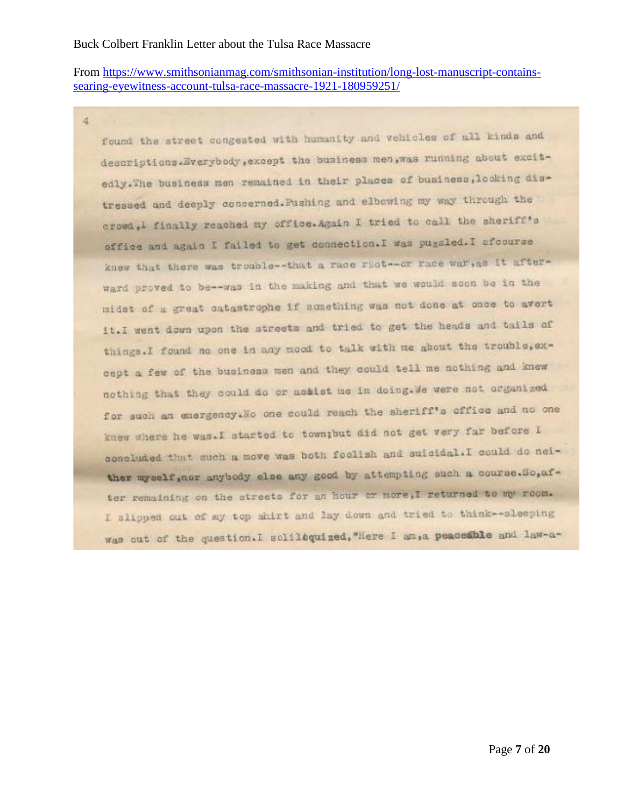From [https://www.smithsonianmag.com/smithsonian-institution/long-lost-manuscript-contains](https://www.smithsonianmag.com/smithsonian-institution/long-lost-manuscript-contains-searing-eyewitness-account-tulsa-race-massacre-1921-180959251/)[searing-eyewitness-account-tulsa-race-massacre-1921-180959251/](https://www.smithsonianmag.com/smithsonian-institution/long-lost-manuscript-contains-searing-eyewitness-account-tulsa-race-massacre-1921-180959251/)

4

found the street congested with humanity and vehicles of all kinds and descriptions.Everybody, except the business men, was running about excitedly. The business men remained in their places of business, looking distressed and deeply concerned. Pushing and elbowing my way through the crowd, I finally reached my office. Again I tried to call the sheriff's office and again I failed to get connection. I was puggled. I ofcourse knew that there was trouble--that a race rict -- or race war, as it afterward proved to be -- was in the making and that we would soon be in the midst of a great catastrophe if something was not done at once to avert it.I went down upon the streets and tried to get the heads and tails of things. I found no one in any mood to talk with me about the trouble, except a few of the business men and they could tell me nothing and knew nothing that they could do or assist me in doing. We were not organized for such an emergency. No one could reach the sheriff's office and no one knew where he was. I started to town; but did not get very far before I concluded that such a move was both foolish and suicidal. I could do neither myself, nor anybody class any good by attempting such a course. So, after remaining on the atreets for an hour or more, I returned to my room. I slipped out of my top shirt and lay down and tried to think -- alcoping was out of the question. I soliloquized, "Here I am, a peaceable and law-a-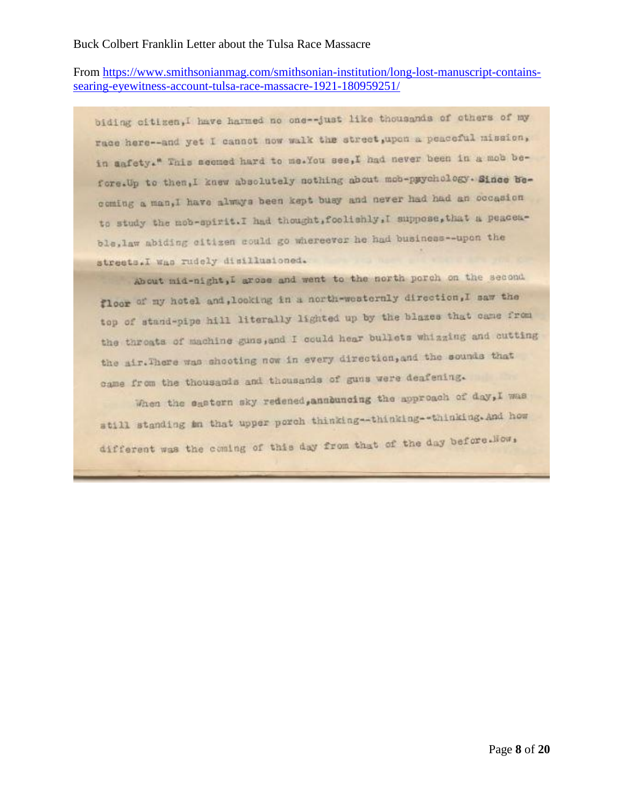From [https://www.smithsonianmag.com/smithsonian-institution/long-lost-manuscript-contains](https://www.smithsonianmag.com/smithsonian-institution/long-lost-manuscript-contains-searing-eyewitness-account-tulsa-race-massacre-1921-180959251/)[searing-eyewitness-account-tulsa-race-massacre-1921-180959251/](https://www.smithsonianmag.com/smithsonian-institution/long-lost-manuscript-contains-searing-eyewitness-account-tulsa-race-massacre-1921-180959251/)

biding citizen, I have harmed no one--just like thousands of others of my race here -- and yet I cannot now walk the street, upon a peaceful mission, in aafety." This seemed hard to me. You see, I had never been in a mob before. Up to then, I knew absolutely nothing about mob-psychology. Since becoming a man, I have always been kept busy and never had had an occasion to study the mob-spirit. I had thought, foolishly, I suppose, that a peaceable, law abiding citizen could go whereever he had business--upon the streets.I was rudely disillusioned.

About mid-night, I arose and went to the north porch on the second floor of my hotel and, looking in a north-westernly direction, I saw the top of stand-pipe hill literally lighted up by the blazes that came from the throats of machine guns, and I could hear bullets whissing and cutting the air. There was shooting now in every direction, and the sounds that came from the thousands and thousands of guns were deafening.

When the eastern sky redened, announcing the approach of day, I was still standing an that upper porch thinking--thinking--thinking. And how different was the coming of this day from that of the day before. How,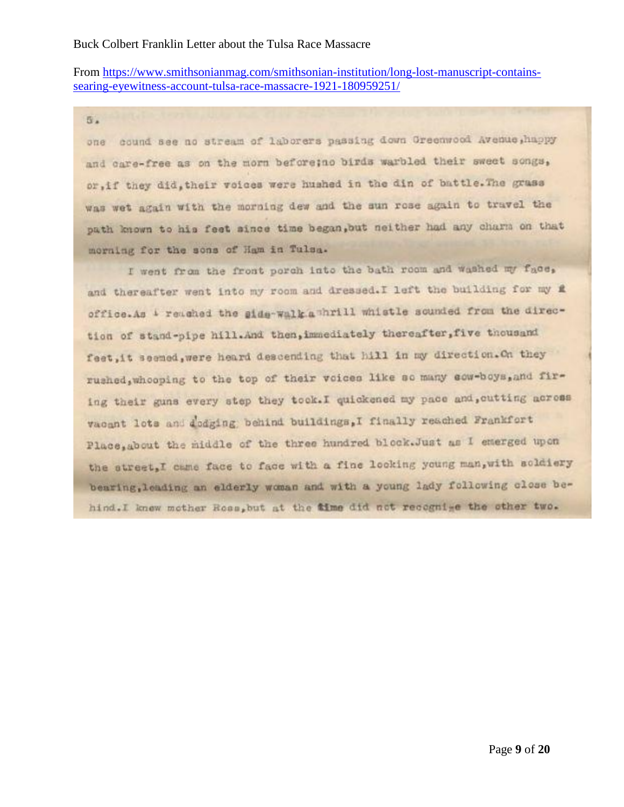From [https://www.smithsonianmag.com/smithsonian-institution/long-lost-manuscript-contains](https://www.smithsonianmag.com/smithsonian-institution/long-lost-manuscript-contains-searing-eyewitness-account-tulsa-race-massacre-1921-180959251/)[searing-eyewitness-account-tulsa-race-massacre-1921-180959251/](https://www.smithsonianmag.com/smithsonian-institution/long-lost-manuscript-contains-searing-eyewitness-account-tulsa-race-massacre-1921-180959251/)

5.

one cound see no stream of laborers passing down Greenwood Avenue, happy and care-free as on the morn before; no birds warbled their sweet songs, or, if they did, their voices were hushed in the din of battle. The grass was wet again with the morning dew and the sun rose again to travel the path known to his feet since time began, but neither had any charm on that morning for the sons of Ham in Tulsa.

I went from the front porch into the bath room and washed my face, and thereafter went into my room and dressed. I left the building for my # office.As i retahed the side-walk a hrill whistle sounded from the direction of stand-pipe hill.And then, immediately thereafter, five thousand feet, it seemed, were heard descending that hill in my direction. On they rushed, whooping to the top of their voices like so many cow-boys, and firing their guns every step they took. I quickened my pace and, cutting across vacant lots and dodging behind buildings, I finally reached Frankfort Place, about the middle of the three hundred block. Just as I emerged upon the street, I came face to face with a fine looking young man, with soldiery bearing, leading an elderly woman and with a young lady following close behind. I knew mother Ross, but at the time did not recognize the other two.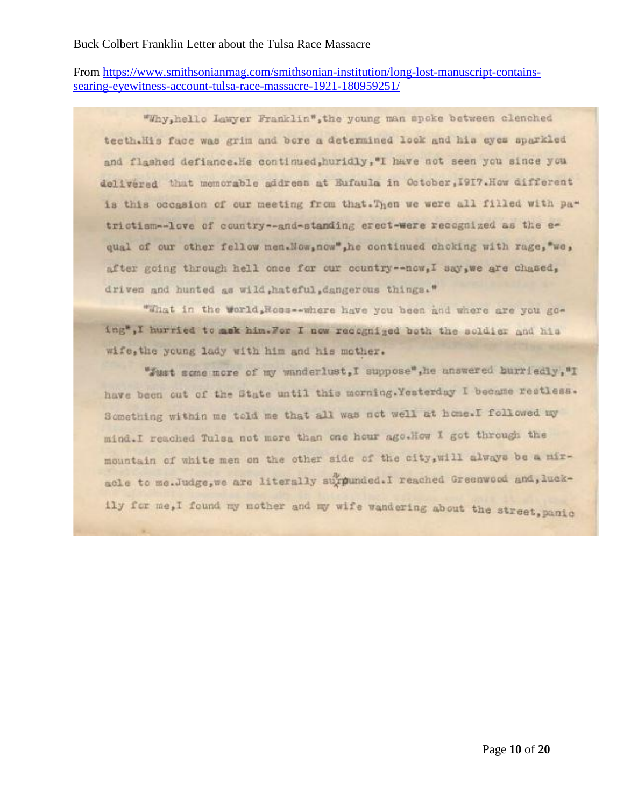From [https://www.smithsonianmag.com/smithsonian-institution/long-lost-manuscript-contains](https://www.smithsonianmag.com/smithsonian-institution/long-lost-manuscript-contains-searing-eyewitness-account-tulsa-race-massacre-1921-180959251/)[searing-eyewitness-account-tulsa-race-massacre-1921-180959251/](https://www.smithsonianmag.com/smithsonian-institution/long-lost-manuscript-contains-searing-eyewitness-account-tulsa-race-massacre-1921-180959251/)

"Why, hello Lawyer Franklin", the young man spoke between clenched teeth.His face was grim and bore a determined look and his eyes sparkled and flashed defiance. He continued, huridly, "I have not seen you since you delivered that memorable address at Eufaula in October, I9I7. How different is this occasion of our meeting from that. Then we were all filled with patrictism -- love of country -- and-standing erect-were recognized as the equal of our other fellow men. Mow, now", he continued choking with rage, "we, after going through hell once for our country -- now, I say, we are chased, driven and hunted as wild, hateful, dangerous things."

"What in the world, Noss--where have you been and where are you going", I hurried to mak him. For I now recognized both the soldier and his wife, the young lady with him and his mother.

"Just some more of my wanderlust, I suppose", he answered burriedly, "I have been out of the State until this morning. Yesterday I became restless. Something within me told me that all was not well at home. I followed my mind. I reached Tulsa not more than one hour ago. How I got through the mountain of white men on the other side of the city, will always be a miracle to me.Judge, we are literally surpunded. I reached Greenwood and, luckily for me, I found my mother and my wife wandering about the street, panic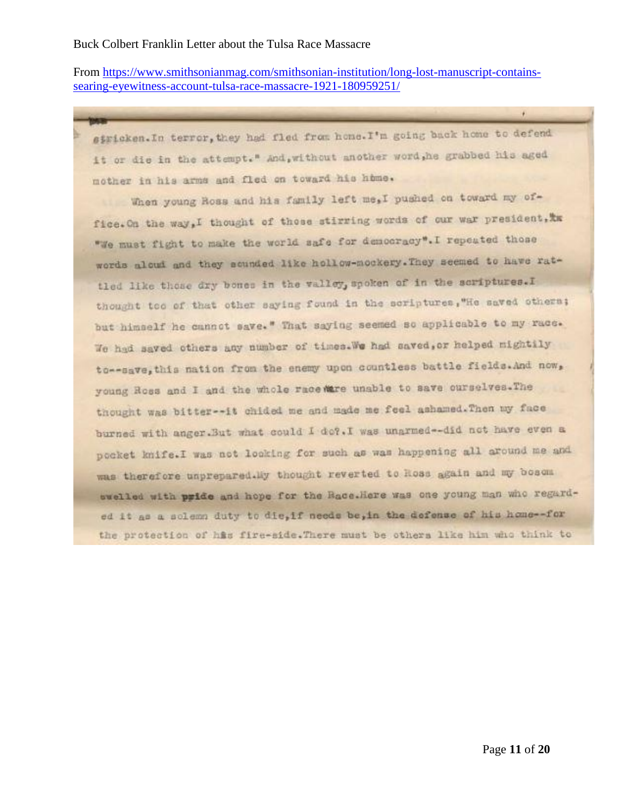From [https://www.smithsonianmag.com/smithsonian-institution/long-lost-manuscript-contains](https://www.smithsonianmag.com/smithsonian-institution/long-lost-manuscript-contains-searing-eyewitness-account-tulsa-race-massacre-1921-180959251/)[searing-eyewitness-account-tulsa-race-massacre-1921-180959251/](https://www.smithsonianmag.com/smithsonian-institution/long-lost-manuscript-contains-searing-eyewitness-account-tulsa-race-massacre-1921-180959251/)

stricken. In terror, they had fled from home. I'm going back home to defend it or die in the attempt." And, without another word, he grabbed his aged mother in his arms and fled on toward his home.

When young Ross and his family left me, I pushed on toward my office. On the way, I thought of those stirring words of our war president, the "We must fight to make the world safe for democracy". I repeated those words alout and they sounded like hollow-mockery. They seemed to have rattled like those dry bones in the valley, spoken of in the scriptures. I thought too of that other saying found in the scriptures, "He saved others; but himself he cannot save." That saying seemed so applicable to my race. We had saved others any number of times. We had saved, or helped mightily to--save, this nation from the enemy upon countless battle fields. And now, young Ross and I and the whole race ware unable to save ourselves. The thought was bitter -- it chided me and made me feel ashamed. Then my face burned with anger.But what could I do?.I was unarmed -- did not have even a pocket knife. I was not looking for such as was happening all around me and was therefore unprepared by thought reverted to Hoss again and my bosom swelled with pride and hope for the Bace.Here was one young man who regarded it as a sclemm duty to die, if needs be, in the defense of his home-for the protection of his fire-side. There must be others like him who think to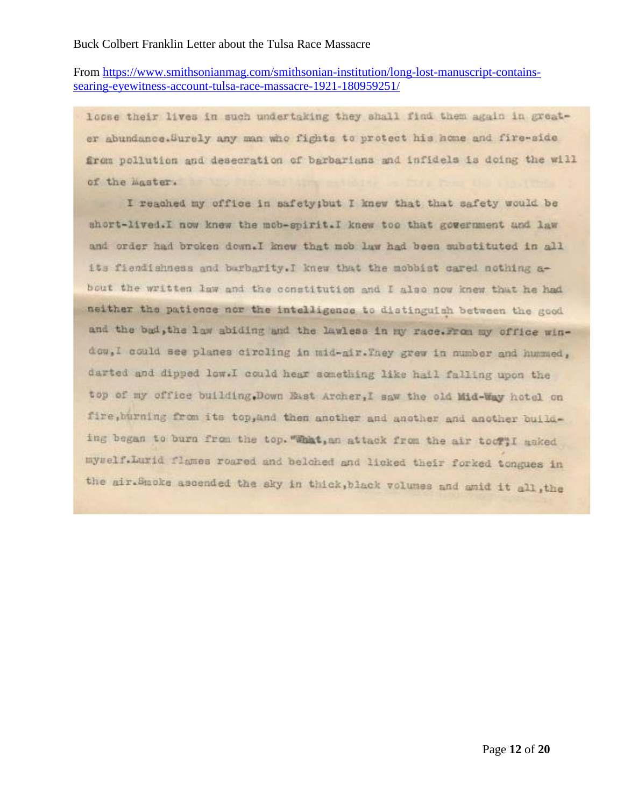From [https://www.smithsonianmag.com/smithsonian-institution/long-lost-manuscript-contains](https://www.smithsonianmag.com/smithsonian-institution/long-lost-manuscript-contains-searing-eyewitness-account-tulsa-race-massacre-1921-180959251/)[searing-eyewitness-account-tulsa-race-massacre-1921-180959251/](https://www.smithsonianmag.com/smithsonian-institution/long-lost-manuscript-contains-searing-eyewitness-account-tulsa-race-massacre-1921-180959251/)

losse their lives in such undertaking they shall find them again in greater abundance. Surely any man who fights to protect his home and fire-side from pollution and desecration of barbarians and infidels is doing the will of the master.

I reached my office in safety; but I knew that that safety would be short-lived.I now knew the mob-spirit.I knew too that government and law and order had broken down. I knew that mob law had been substituted in all its fiendishness and barbarity. I knew that the mobbist cared nothing about the written law and the constitution and I also now knew that he had neither the patience nor the intelligence to distinguish between the good and the bad, the law abiding and the lawless in my race. From my office window, I could see planes circling in mid-air. They grew in number and hummed, darted and dipped low.I could hear something like hail falling upon the top of my office building. Down East Archer, I saw the old Mid-Way hotel on fire, burning from its top, and then another and another and another building began to burn from the top. "What, an attack from the air tool"! asked myself.Lurid flames roared and belched and licked their forked tongues in the mir. Smoke ascended the sky in thick, black volumes and anid it all, the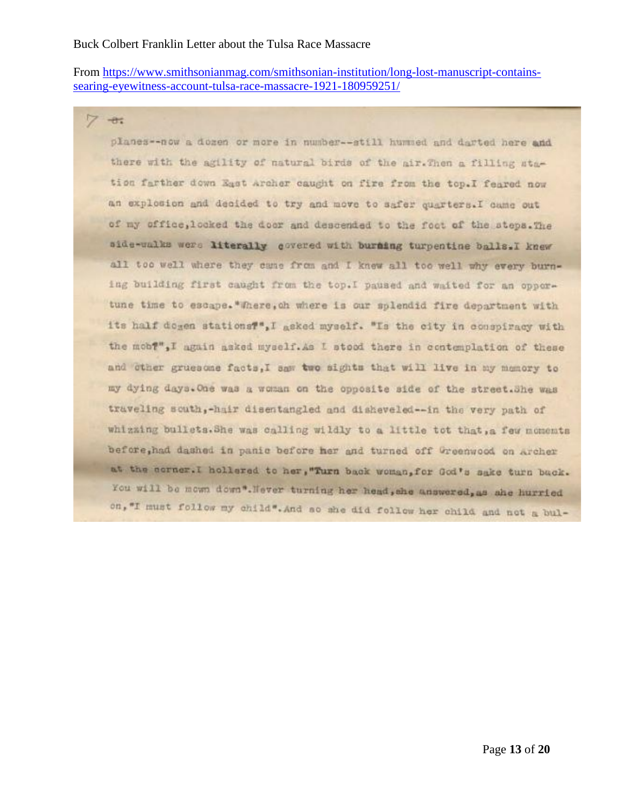From [https://www.smithsonianmag.com/smithsonian-institution/long-lost-manuscript-contains](https://www.smithsonianmag.com/smithsonian-institution/long-lost-manuscript-contains-searing-eyewitness-account-tulsa-race-massacre-1921-180959251/)[searing-eyewitness-account-tulsa-race-massacre-1921-180959251/](https://www.smithsonianmag.com/smithsonian-institution/long-lost-manuscript-contains-searing-eyewitness-account-tulsa-race-massacre-1921-180959251/)

 $-0.7$ 

planes--now a dozen or more in number -- still hummed and darted here and there with the agility of natural birds of the air. Then a filling station farther down East Archer caught on fire from the top.I feared now an explosion and decided to try and move to safer quarters. I came out of my office, looked the door and descended to the foot of the steps. The side-walks were literally govered with burning turpentine balls. I knew all too well where they came from and I knew all too well why every burning building first caught from the top. I paused and waited for an opportune time to escape. "There, ch where is our splendid fire department with its half dogen stations?", I asked myself. "Is the city in conspiracy with the mob?",I again asked myself. As I stood there in contemplation of these and other gruesome facts, I saw two sights that will live in my mamory to my dying days. One was a woman on the opposite side of the street. She was traveling south,-hair disentangled and diskeveled -- in the very path of whizzing bullets. She was calling wildly to a little tot that, a few moments before, had dashed in panic before her and turned off Greenwood on Archer at the corner. I hollered to her, "Turn back woman, for God's sake turn back. You will be mown down". Never turning her head, she answered, as she hurried on, "I must follow my child". And so she did follow her child and not a bul-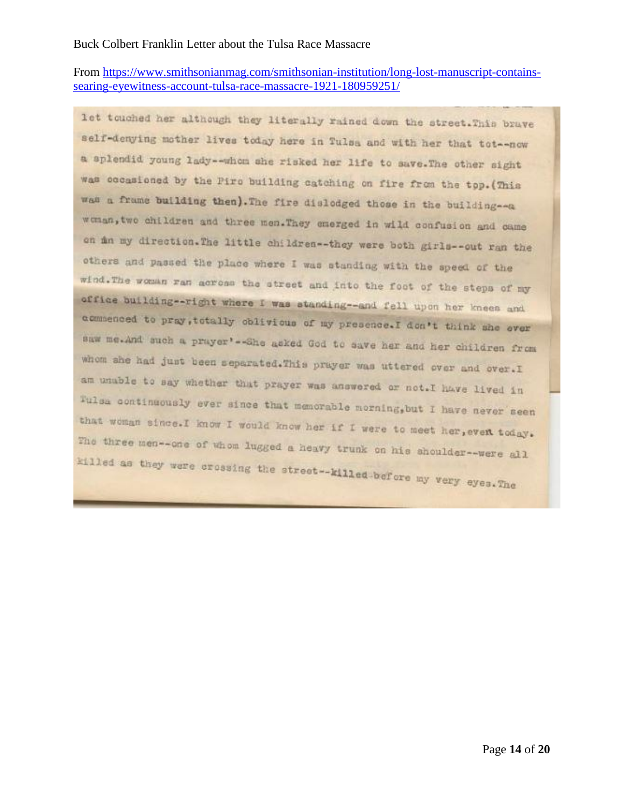From [https://www.smithsonianmag.com/smithsonian-institution/long-lost-manuscript-contains](https://www.smithsonianmag.com/smithsonian-institution/long-lost-manuscript-contains-searing-eyewitness-account-tulsa-race-massacre-1921-180959251/)[searing-eyewitness-account-tulsa-race-massacre-1921-180959251/](https://www.smithsonianmag.com/smithsonian-institution/long-lost-manuscript-contains-searing-eyewitness-account-tulsa-race-massacre-1921-180959251/)

let touched her although they literally rained down the street. This brave self-denying mother lives today here in Tulsa and with her that tot -- now a splendid young lady--whom she risked her life to save. The other sight was cocasioned by the Piro building catching on fire from the top. (This was a frame building then). The fire dislodged those in the building -- a woman, two children and three men. They emerged in wild confusion and came on min my direction. The little children -- they were both girls -- out ran the others and passed the place where I was standing with the speed of the wind. The woman ran across the street and into the foot of the steps of my office building -- right where I was standing -- and fell upon her knees and commenced to pray, totally oblivious of my presence. I don't think she ever saw me.And such a prayer' -- She asked God to save her and her children from whom ahe had just been separated. This prayer was uttered over and over. I am unable to say whether that prayer was answered or not. I have lived in Tulsa continuously ever since that memorable morning, but I have never seen that woman since. I know I would know her if I were to meet her, even today. The three men -- one of whom lugged a heavy trunk on his shoulder -- were all killed as they were crossing the street--killed before my very eyes. The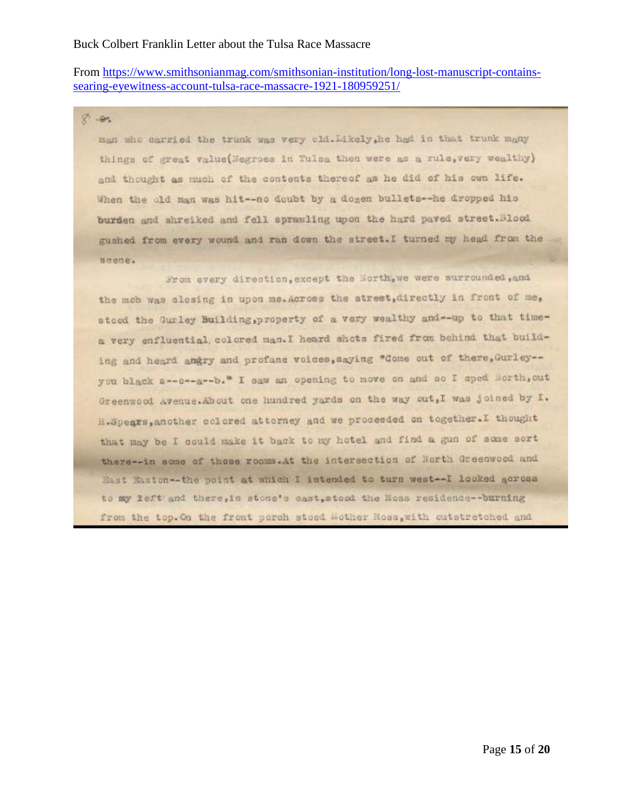## From [https://www.smithsonianmag.com/smithsonian-institution/long-lost-manuscript-contains](https://www.smithsonianmag.com/smithsonian-institution/long-lost-manuscript-contains-searing-eyewitness-account-tulsa-race-massacre-1921-180959251/)[searing-eyewitness-account-tulsa-race-massacre-1921-180959251/](https://www.smithsonianmag.com/smithsonian-institution/long-lost-manuscript-contains-searing-eyewitness-account-tulsa-race-massacre-1921-180959251/)

 $8 - 8.$ 

man who carried the trunk was very cld. Likely, he had in that trunk many things of great value(Negroes in Tulsa then were as a rule, very wealthy) and thought as much of the contents thereof as he did of his own life. When the old man was hit -- no doubt by a dogen bullets -- he dropped his burden and shreiked and fell sprawling upon the hard paved street. Blood gushed from every wound and ran down the street. I turned my head from the Beene.

From every direction, except the North, we were surrounded, and the mob was closing in upon me. Across the street, directly in front of me, stood the Gurley Building, property of a very wealthy and -- up to that timea very enfluential, colored man. I heard shots fired from behind that building and heard angry and profane voices, aaying "Come out of there, Gurley -you black a -- o -- a -- b. " I saw an opening to nove on and so I sped Morth, out Greenwood Avenue. About one hundred yards on the way out, I was joined by I. H.Spears, another colored attorney and we proceeded on together. I thought that may be I could make it back to my hotel and find a gun of some sort there--in some of these rooms.At the intersection of North Greenwood and East Easton--the point at which I intended to turn west--I looked across to my left and there, in stone's cast, stood the Ross residence -- burning from the top. On the front porch stood Mother Ross, with cutstratched and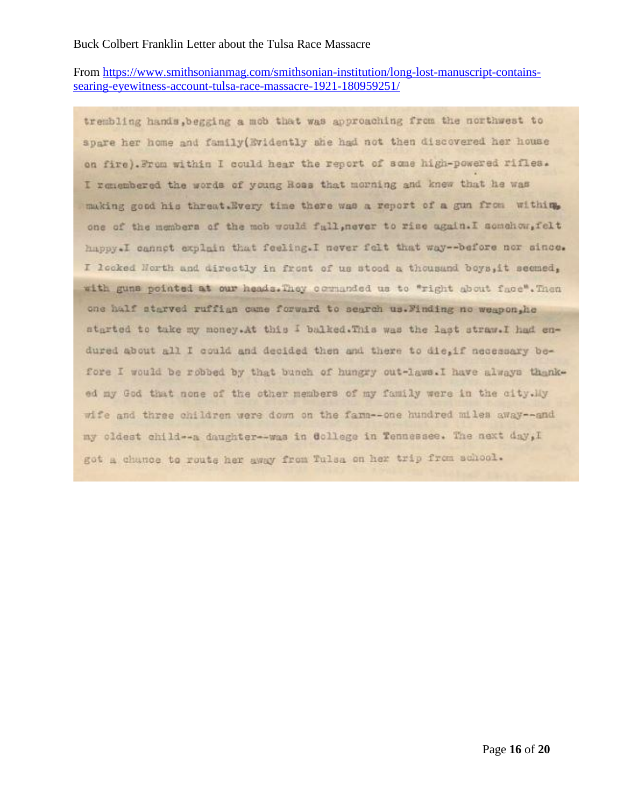From [https://www.smithsonianmag.com/smithsonian-institution/long-lost-manuscript-contains](https://www.smithsonianmag.com/smithsonian-institution/long-lost-manuscript-contains-searing-eyewitness-account-tulsa-race-massacre-1921-180959251/)[searing-eyewitness-account-tulsa-race-massacre-1921-180959251/](https://www.smithsonianmag.com/smithsonian-institution/long-lost-manuscript-contains-searing-eyewitness-account-tulsa-race-massacre-1921-180959251/)

trembling hands, begging a mob that was approaching from the northwest to spare her home and family (Evidently she had not then discovered her house on fire). From within I could hear the report of some high-powered rifles. I remembered the words of young Ross that morning and knew that he was making good his threat. Every time there was a report of a gun from withing one of the members of the mob would full, never to rise again. I somehow, felt happy. I cannot explain that feeling. I never felt that way -- before nor since. I looked Horth and directly in front of us stood a thousand boys, it seemed, with guns pointed at our heads. They commanded us to "right about face". Then one half starved ruffian came forward to search us. Minding no weapon, he started to take my money. At this I balked. This was the last straw. I had endured about all I could and decided then and there to die, if necessary before I would be robbed by that bunch of hungry out-laws. I have always thanked my God that none of the other members of my family were in the city. My wife and three children were down on the farm--one hundred miles away--and my oldest child -- a daughter -- was in Gollege in Tennessee. The next day, I got a chunce to route her away from Tulsa on her trip from achool.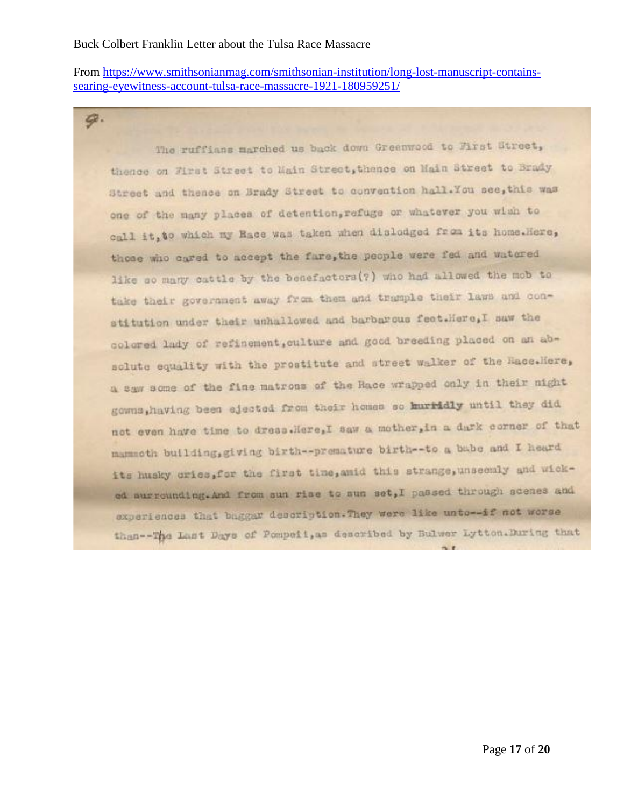9.

From [https://www.smithsonianmag.com/smithsonian-institution/long-lost-manuscript-contains](https://www.smithsonianmag.com/smithsonian-institution/long-lost-manuscript-contains-searing-eyewitness-account-tulsa-race-massacre-1921-180959251/)[searing-eyewitness-account-tulsa-race-massacre-1921-180959251/](https://www.smithsonianmag.com/smithsonian-institution/long-lost-manuscript-contains-searing-eyewitness-account-tulsa-race-massacre-1921-180959251/)

The ruffians marched us back down Greenwood to First Street, thence on First Street to Main Street, thence on Main Street to Brady Street and thence on Brady Street to convention hall. You see, this was one of the many places of detention, refuge or whatever you wish to call it, to which my Hace was taken when disladged from its home. Here, those who cared to accept the fare, the people were fed and watered like so many cattle by the benefactors(?) who had allowed the mob to take their government away from them and trample their laws and constitution under their unhallowed and barbarous feet.Here,I saw the colored lady of refinement, culture and good breeding placed on an absolute equality with the prostitute and street walker of the Hace. Here, a saw some of the fine matrons of the Race wrapped only in their night gowns, having been ejected from their homes so hurridly until they did not even have time to dress.Here,I saw a mother, in a dark corner of that mammoth building, giving birth--premature birth--to a babe and I heard its husky cries, for the first time, amid this strange, unseemly and wicked surrounding. And from sun rise to sun set, I passed through scenes and experiences that baggar description. They were like unto--if not worse than --The Last Days of Pompeii, as described by Bulwer Lytton. During that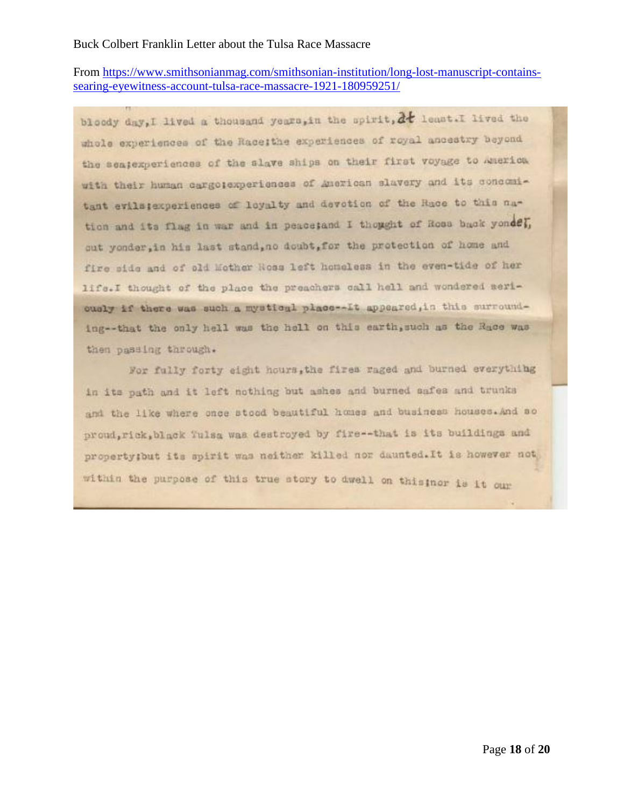From [https://www.smithsonianmag.com/smithsonian-institution/long-lost-manuscript-contains](https://www.smithsonianmag.com/smithsonian-institution/long-lost-manuscript-contains-searing-eyewitness-account-tulsa-race-massacre-1921-180959251/)[searing-eyewitness-account-tulsa-race-massacre-1921-180959251/](https://www.smithsonianmag.com/smithsonian-institution/long-lost-manuscript-contains-searing-eyewitness-account-tulsa-race-massacre-1921-180959251/)

bloody day, I lived a thousand years, in the spirit, at least. I lived the whole experiences of the Raceithe experiences of royal ancestry beyond the seatexperiences of the slave ships on their first voyage to America with their human cargotexperiences of American slavery and its concemitant evils sexperiences of loyalty and devetion of the Race to this nation and its flag in war and in peace; and I thought of Ross back yondel, out yonder, in his last stand, no doubt, for the protection of home and fire side and of old Mether Ross left homeless in the even-tide of her life.I thought of the place the preachers call hell and wondered seriously if there was such a mystical place -- It appeared, in this surrounding--that the only hell was the hell on this earth, such as the Race was then passing through.

For fully forty eight hours, the fires raged and burned everything in its path and it left nothing but ashes and burned safes and trunks and the like where once stood beautiful homes and business houses. And so proud, rick, black Tulsa was destroyed by fire -- that is its buildings and property; but its spirit was neither killed nor daunted. It is however not within the purpose of this true story to dwell on this nor is it our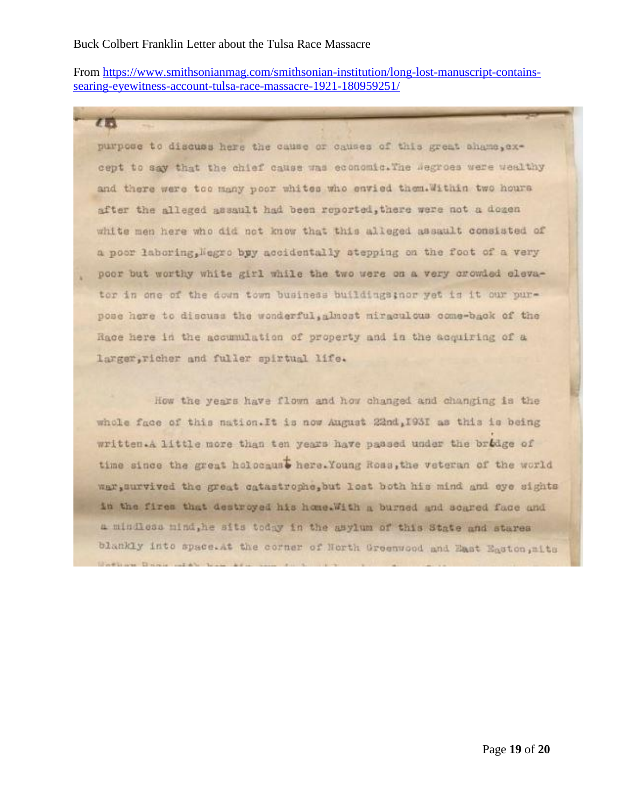【题

From [https://www.smithsonianmag.com/smithsonian-institution/long-lost-manuscript-contains](https://www.smithsonianmag.com/smithsonian-institution/long-lost-manuscript-contains-searing-eyewitness-account-tulsa-race-massacre-1921-180959251/)[searing-eyewitness-account-tulsa-race-massacre-1921-180959251/](https://www.smithsonianmag.com/smithsonian-institution/long-lost-manuscript-contains-searing-eyewitness-account-tulsa-race-massacre-1921-180959251/)

purpose to discuss here the cause or causes of this great shame, except to say that the chief cause was economic. The segroes were wealthy and there were too many poor whites who envied them. Within two hours after the alleged assault had been reported, there were not a dogen white men here who did not know that this alleged assault consisted of a poor laboring, Negro byy accidentally stepping on the foot of a very poor but worthy white girl while the two were on a very crowled elevator in one of the down town business buildings; nor yet is it our purpose here to discuss the wonderful, almost miraculous come-back of the Race here in the accumulation of property and in the acquiring of a larger, richer and fuller spirtual life.

How the years have flown and how changed and changing is the whole face of this nation. It is now August 22nd, 1931 as this is being written.A little more than ten years have passed under the bridge of time since the great holocaust here. Young Ross, the veteran of the world war, survived the great catastrophe, but lost both his mind and eye sights in the fires that destroyed his home. With a burned and soared face and a mindless mind, he sits today in the asylum of this State and stares blankly into space. At the corner of North Greenwood and East Easton, mits